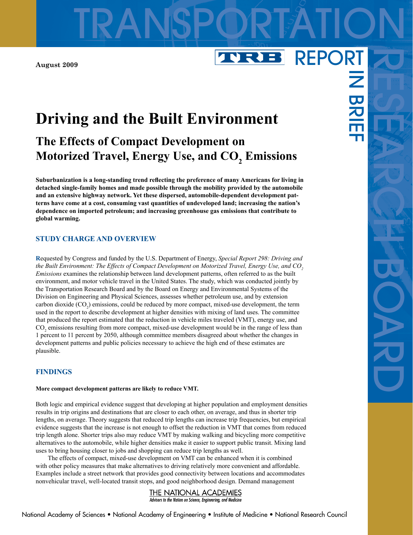**August 2009**

# **Driving and the Built Environment**

## **The Effects of Compact Development on** Motorized Travel, Energy Use, and  $\mathrm{CO}_\mathrm{2}$  Emissions

TRANSPORTATION

VRB

REPORT

 $\overline{\mathbf{z}}$ 

BRI<br>H

**Suburbanization is a long-standing trend reflecting the preference of many Americans for living in detached single-family homes and made possible through the mobility provided by the automobile and an extensive highway network. Yet these dispersed, automobile-dependent development patterns have come at a cost, consuming vast quantities of undeveloped land; increasing the nation's dependence on imported petroleum; and increasing greenhouse gas emissions that contribute to global warming.**

## **STUDY CHARGE AND OVERVIEW**

**R**equested by Congress and funded by the U.S. Department of Energy, *Special Report 298: Driving and the Built Environment: The Effects of Compact Development on Motorized Travel, Energy Use, and CO2 Emissions* examines the relationship between land development patterns, often referred to as the built environment, and motor vehicle travel in the United States. The study, which was conducted jointly by the Transportation Research Board and by the Board on Energy and Environmental Systems of the Division on Engineering and Physical Sciences, assesses whether petroleum use, and by extension carbon dioxide  $(CO_2)$  emissions, could be reduced by more compact, mixed-use development, the term used in the report to describe development at higher densities with mixing of land uses. The committee that produced the report estimated that the reduction in vehicle miles traveled (VMT), energy use, and  $CO<sub>2</sub>$  emissions resulting from more compact, mixed-use development would be in the range of less than 1 percent to 11 percent by 2050, although committee members disagreed about whether the changes in development patterns and public policies necessary to achieve the high end of these estimates are plausible.

## **FINDINGS**

#### **More compact development patterns are likely to reduce VMT.**

Both logic and empirical evidence suggest that developing at higher population and employment densities results in trip origins and destinations that are closer to each other, on average, and thus in shorter trip lengths, on average. Theory suggests that reduced trip lengths can increase trip frequencies, but empirical evidence suggests that the increase is not enough to offset the reduction in VMT that comes from reduced trip length alone. Shorter trips also may reduce VMT by making walking and bicycling more competitive alternatives to the automobile, while higher densities make it easier to support public transit. Mixing land uses to bring housing closer to jobs and shopping can reduce trip lengths as well.

The effects of compact, mixed-use development on VMT can be enhanced when it is combined with other policy measures that make alternatives to driving relatively more convenient and affordable. Examples include a street network that provides good connectivity between locations and accommodates nonvehicular travel, well-located transit stops, and good neighborhood design. Demand management

## THE NATIONAL ACADEMIES

Advisers to the Nation on Science, Engineering, and Medicine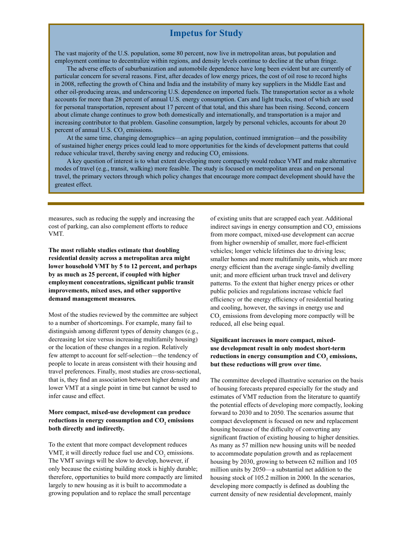## **Impetus for Study**

The vast majority of the U.S. population, some 80 percent, now live in metropolitan areas, but population and employment continue to decentralize within regions, and density levels continue to decline at the urban fringe.

The adverse effects of suburbanization and automobile dependence have long been evident but are currently of particular concern for several reasons. First, after decades of low energy prices, the cost of oil rose to record highs in 2008, reflecting the growth of China and India and the instability of many key suppliers in the Middle East and other oil-producing areas, and underscoring U.S. dependence on imported fuels. The transportation sector as a whole accounts for more than 28 percent of annual U.S. energy consumption. Cars and light trucks, most of which are used for personal transportation, represent about 17 percent of that total, and this share has been rising. Second, concern about climate change continues to grow both domestically and internationally, and transportation is a major and increasing contributor to that problem. Gasoline consumption, largely by personal vehicles, accounts for about 20 percent of annual U.S.  $CO<sub>2</sub>$  emissions.

At the same time, changing demographics—an aging population, continued immigration—and the possibility of sustained higher energy prices could lead to more opportunities for the kinds of development patterns that could reduce vehicular travel, thereby saving energy and reducing  $CO<sub>2</sub>$  emissions.

A key question of interest is to what extent developing more compactly would reduce VMT and make alternative modes of travel (e.g., transit, walking) more feasible. The study is focused on metropolitan areas and on personal travel, the primary vectors through which policy changes that encourage more compact development should have the greatest effect.

measures, such as reducing the supply and increasing the cost of parking, can also complement efforts to reduce VMT.

**The most reliable studies estimate that doubling residential density across a metropolitan area might lower household VMT by 5 to 12 percent, and perhaps by as much as 25 percent, if coupled with higher employment concentrations, significant public transit improvements, mixed uses, and other supportive demand management measures***.*

Most of the studies reviewed by the committee are subject to a number of shortcomings. For example, many fail to distinguish among different types of density changes (e.g., decreasing lot size versus increasing multifamily housing) or the location of these changes in a region. Relatively few attempt to account for self-selection—the tendency of people to locate in areas consistent with their housing and travel preferences. Finally, most studies are cross-sectional, that is, they find an association between higher density and lower VMT at a single point in time but cannot be used to infer cause and effect.

## **More compact, mixed-use development can produce**  reductions in energy consumption and  $\mathrm{CO}_\mathrm{2}$  emissions **both directly and indirectly.**

To the extent that more compact development reduces VMT, it will directly reduce fuel use and  $CO<sub>2</sub>$  emissions. The VMT savings will be slow to develop, however, if only because the existing building stock is highly durable; therefore, opportunities to build more compactly are limited largely to new housing as it is built to accommodate a growing population and to replace the small percentage

of existing units that are scrapped each year. Additional indirect savings in energy consumption and  $CO<sub>2</sub>$  emissions from more compact, mixed-use development can accrue from higher ownership of smaller, more fuel-efficient vehicles; longer vehicle lifetimes due to driving less; smaller homes and more multifamily units, which are more energy efficient than the average single-family dwelling unit; and more efficient urban truck travel and delivery patterns. To the extent that higher energy prices or other public policies and regulations increase vehicle fuel efficiency or the energy efficiency of residential heating and cooling, however, the savings in energy use and  $CO<sub>2</sub>$  emissions from developing more compactly will be reduced, all else being equal.

## **Significant increases in more compact, mixeduse development result in only modest short-term**  reductions in energy consumption and  $CO<sub>2</sub>$  emissions, **but these reductions will grow over time.**

The committee developed illustrative scenarios on the basis of housing forecasts prepared especially for the study and estimates of VMT reduction from the literature to quantify the potential effects of developing more compactly, looking forward to 2030 and to 2050. The scenarios assume that compact development is focused on new and replacement housing because of the difficulty of converting any significant fraction of existing housing to higher densities. As many as 57 million new housing units will be needed to accommodate population growth and as replacement housing by 2030, growing to between 62 million and 105 million units by 2050—a substantial net addition to the housing stock of 105.2 million in 2000. In the scenarios, developing more compactly is defined as doubling the current density of new residential development, mainly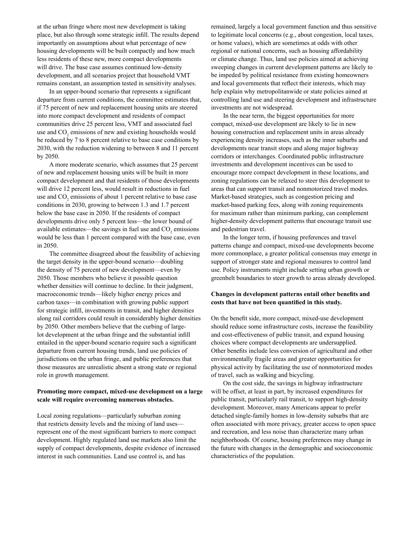at the urban fringe where most new development is taking place, but also through some strategic infill. The results depend importantly on assumptions about what percentage of new housing developments will be built compactly and how much less residents of these new, more compact developments will drive. The base case assumes continued low-density development, and all scenarios project that household VMT remains constant, an assumption tested in sensitivity analyses.

In an upper-bound scenario that represents a significant departure from current conditions, the committee estimates that, if 75 percent of new and replacement housing units are steered into more compact development and residents of compact communities drive 25 percent less, VMT and associated fuel use and  $CO<sub>2</sub>$  emissions of new and existing households would be reduced by 7 to 8 percent relative to base case conditions by 2030, with the reduction widening to between 8 and 11 percent by 2050.

A more moderate scenario, which assumes that 25 percent of new and replacement housing units will be built in more compact development and that residents of those developments will drive 12 percent less, would result in reductions in fuel use and  $CO<sub>2</sub>$  emissions of about 1 percent relative to base case conditions in 2030, growing to between 1.3 and 1.7 percent below the base case in 2050. If the residents of compact developments drive only 5 percent less—the lower bound of available estimates—the savings in fuel use and  $CO<sub>2</sub>$  emissions would be less than 1 percent compared with the base case, even in 2050.

The committee disagreed about the feasibility of achieving the target density in the upper-bound scenario—doubling the density of 75 percent of new development—even by 2050. Those members who believe it possible question whether densities will continue to decline. In their judgment, macroeconomic trends—likely higher energy prices and carbon taxes—in combination with growing public support for strategic infill, investments in transit, and higher densities along rail corridors could result in considerably higher densities by 2050. Other members believe that the curbing of largelot development at the urban fringe and the substantial infill entailed in the upper-bound scenario require such a significant departure from current housing trends, land use policies of jurisdictions on the urban fringe, and public preferences that those measures are unrealistic absent a strong state or regional role in growth management.

## **Promoting more compact, mixed-use development on a large scale will require overcoming numerous obstacles.**

Local zoning regulations—particularly suburban zoning that restricts density levels and the mixing of land uses represent one of the most significant barriers to more compact development. Highly regulated land use markets also limit the supply of compact developments, despite evidence of increased interest in such communities. Land use control is, and has

remained, largely a local government function and thus sensitive to legitimate local concerns (e.g., about congestion, local taxes, or home values), which are sometimes at odds with other regional or national concerns, such as housing affordability or climate change. Thus, land use policies aimed at achieving sweeping changes in current development patterns are likely to be impeded by political resistance from existing homeowners and local governments that reflect their interests, which may help explain why metropolitanwide or state policies aimed at controlling land use and steering development and infrastructure investments are not widespread.

In the near term, the biggest opportunities for more compact, mixed-use development are likely to lie in new housing construction and replacement units in areas already experiencing density increases, such as the inner suburbs and developments near transit stops and along major highway corridors or interchanges. Coordinated public infrastructure investments and development incentives can be used to encourage more compact development in these locations, and zoning regulations can be relaxed to steer this development to areas that can support transit and nonmotorized travel modes. Market-based strategies, such as congestion pricing and market-based parking fees, along with zoning requirements for maximum rather than minimum parking, can complement higher-density development patterns that encourage transit use and pedestrian travel.

In the longer term, if housing preferences and travel patterns change and compact, mixed-use developments become more commonplace, a greater political consensus may emerge in support of stronger state and regional measures to control land use. Policy instruments might include setting urban growth or greenbelt boundaries to steer growth to areas already developed.

## **Changes in development patterns entail other benefits and costs that have not been quantified in this study.**

On the benefit side, more compact, mixed-use development should reduce some infrastructure costs, increase the feasibility and cost-effectiveness of public transit, and expand housing choices where compact developments are undersupplied. Other benefits include less conversion of agricultural and other environmentally fragile areas and greater opportunities for physical activity by facilitating the use of nonmotorized modes of travel, such as walking and bicycling.

On the cost side, the savings in highway infrastructure will be offset, at least in part, by increased expenditures for public transit, particularly rail transit, to support high-density development. Moreover, many Americans appear to prefer detached single-family homes in low-density suburbs that are often associated with more privacy, greater access to open space and recreation, and less noise than characterize many urban neighborhoods. Of course, housing preferences may change in the future with changes in the demographic and socioeconomic characteristics of the population.